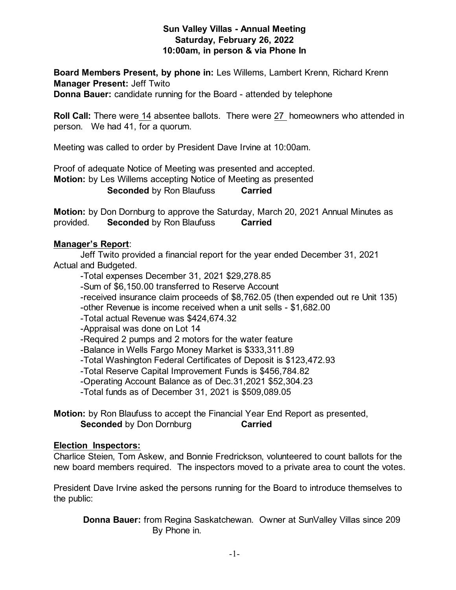### **Sun Valley Villas - Annual Meeting Saturday, February 26, 2022 10:00am, in person & via Phone In**

**Board Members Present, by phone in:** Les Willems, Lambert Krenn, Richard Krenn **Manager Present:** Jeff Twito

**Donna Bauer:** candidate running for the Board - attended by telephone

**Roll Call:** There were 14 absentee ballots. There were 27 homeowners who attended in person. We had 41, for a quorum.

Meeting was called to order by President Dave Irvine at 10:00am.

Proof of adequate Notice of Meeting was presented and accepted. **Motion:** by Les Willems accepting Notice of Meeting as presented **Seconded** by Ron Blaufuss **Carried**

**Motion:** by Don Dornburg to approve the Saturday, March 20, 2021 Annual Minutes as provided. **Seconded** by Ron Blaufuss **Carried**

## **Manager's Report**:

Jeff Twito provided a financial report for the year ended December 31, 2021 Actual and Budgeted.

-Total expenses December 31, 2021 \$29,278.85

-Sum of \$6,150.00 transferred to Reserve Account

-received insurance claim proceeds of \$8,762.05 (then expended out re Unit 135)

-other Revenue is income received when a unit sells - \$1,682.00

-Total actual Revenue was \$424,674.32

-Appraisal was done on Lot 14

-Required 2 pumps and 2 motors for the water feature

-Balance in Wells Fargo Money Market is \$333,311.89

-Total Washington Federal Certificates of Deposit is \$123,472.93

-Total Reserve Capital Improvement Funds is \$456,784.82

-Operating Account Balance as of Dec.31,2021 \$52,304.23

-Total funds as of December 31, 2021 is \$509,089.05

**Motion:** by Ron Blaufuss to accept the Financial Year End Report as presented, **Seconded** by Don Dornburg **Carried** 

#### **Election Inspectors:**

Charlice Steien, Tom Askew, and Bonnie Fredrickson, volunteered to count ballots for the new board members required. The inspectors moved to a private area to count the votes.

President Dave Irvine asked the persons running for the Board to introduce themselves to the public:

**Donna Bauer:** from Regina Saskatchewan. Owner at SunValley Villas since 209 By Phone in.